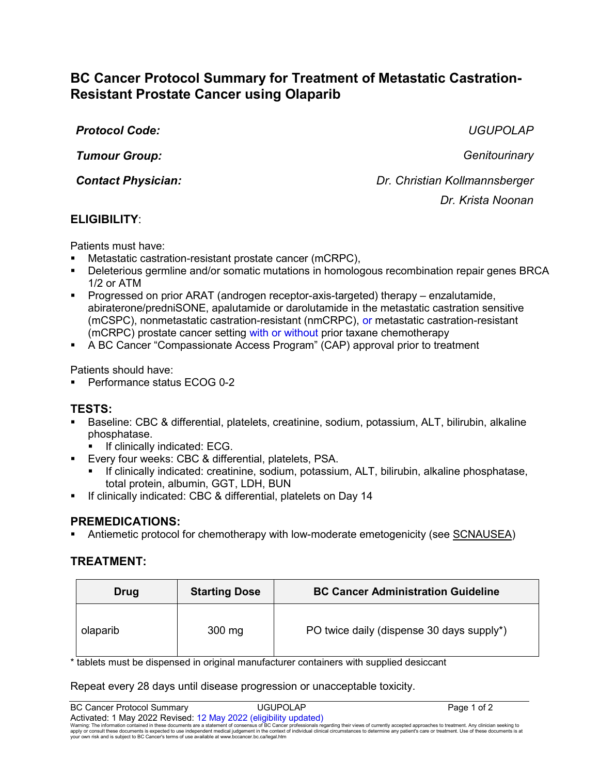# **BC Cancer Protocol Summary for Treatment of Metastatic Castration-Resistant Prostate Cancer using Olaparib**

*Protocol Code: UGUPOLAP*

*Tumour Group: Genitourinary*

*Contact Physician: Dr. Christian Kollmannsberger Dr. Krista Noonan*

# **ELIGIBILITY**:

Patients must have:

- Metastatic castration-resistant prostate cancer (mCRPC),
- Deleterious germline and/or somatic mutations in homologous recombination repair genes BRCA 1/2 or ATM
- Progressed on prior ARAT (androgen receptor-axis-targeted) therapy enzalutamide, abiraterone/predniSONE, apalutamide or darolutamide in the metastatic castration sensitive (mCSPC), nonmetastatic castration-resistant (nmCRPC), or metastatic castration-resistant (mCRPC) prostate cancer setting with or without prior taxane chemotherapy
- A BC Cancer "Compassionate Access Program" (CAP) approval prior to treatment

Patients should have:

Performance status ECOG 0-2

## **TESTS:**

- Baseline: CBC & differential, platelets, creatinine, sodium, potassium, ALT, bilirubin, alkaline phosphatase.
	- If clinically indicated: ECG.
- Every four weeks: CBC & differential, platelets, PSA.
	- If clinically indicated: creatinine, sodium, potassium, ALT, bilirubin, alkaline phosphatase, total protein, albumin, GGT, LDH, BUN
- If clinically indicated: CBC & differential, platelets on Day 14

## **PREMEDICATIONS:**

Antiemetic protocol for chemotherapy with low-moderate emetogenicity (see [SCNAUSEA\)](http://www.bccancer.bc.ca/NR/rdonlyres/8E898B5D-3F12-4623-8E32-5B3C429C58F7/34092/SCNAUSEA_Protocol_1May09.pdf)

# **TREATMENT:**

| Drug     | <b>Starting Dose</b> | <b>BC Cancer Administration Guideline</b> |
|----------|----------------------|-------------------------------------------|
| olaparib | $300$ mg             | PO twice daily (dispense 30 days supply*) |

\* tablets must be dispensed in original manufacturer containers with supplied desiccant

Repeat every 28 days until disease progression or unacceptable toxicity.